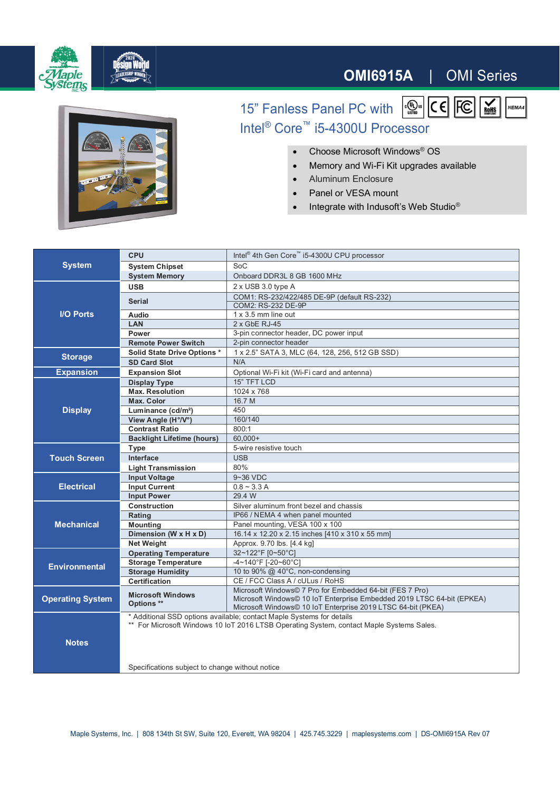

## **OMI6915A** | OMI Series

NEMA4



15" Fanless Panel PC with  $\frac{1}{\sqrt{2\pi}}$  CE FC  $\frac{1}{\sqrt{2\pi}}$ Intel® Core™ i5-4300U Processor

- ∂ Choose Microsoft Windows® OS
- Memory and Wi-Fi Kit upgrades available
- Aluminum Enclosure
- Panel or VESA mount
- Integrate with Indusoft's Web Studio<sup>®</sup>

| <b>System</b>           | <b>CPU</b>                                                                                                                                                        | Intel <sup>®</sup> 4th Gen Core™ i5-4300U CPU processor                |
|-------------------------|-------------------------------------------------------------------------------------------------------------------------------------------------------------------|------------------------------------------------------------------------|
|                         | <b>System Chipset</b>                                                                                                                                             | SoC                                                                    |
|                         | <b>System Memory</b>                                                                                                                                              | Onboard DDR3L 8 GB 1600 MHz                                            |
| <b>I/O Ports</b>        | <b>USB</b>                                                                                                                                                        | 2 x USB 3.0 type A                                                     |
|                         | <b>Serial</b>                                                                                                                                                     | COM1: RS-232/422/485 DE-9P (default RS-232)                            |
|                         |                                                                                                                                                                   | COM2: RS-232 DE-9P                                                     |
|                         | <b>Audio</b>                                                                                                                                                      | 1 x 3.5 mm line out                                                    |
|                         | LAN                                                                                                                                                               | $2x$ GbE RJ-45                                                         |
|                         | Power                                                                                                                                                             | 3-pin connector header, DC power input                                 |
|                         | <b>Remote Power Switch</b>                                                                                                                                        | 2-pin connector header                                                 |
| <b>Storage</b>          | <b>Solid State Drive Options *</b>                                                                                                                                | 1 x 2.5" SATA 3, MLC (64, 128, 256, 512 GB SSD)                        |
|                         | <b>SD Card Slot</b>                                                                                                                                               | N/A                                                                    |
| <b>Expansion</b>        | <b>Expansion Slot</b>                                                                                                                                             | Optional Wi-Fi kit (Wi-Fi card and antenna)                            |
| <b>Display</b>          | <b>Display Type</b>                                                                                                                                               | 15" TFT LCD                                                            |
|                         | <b>Max. Resolution</b>                                                                                                                                            | 1024 x 768                                                             |
|                         | Max. Color                                                                                                                                                        | 16.7 M                                                                 |
|                         | Luminance (cd/m <sup>2</sup> )                                                                                                                                    | 450                                                                    |
|                         | View Angle (H°/V°)                                                                                                                                                | 160/140                                                                |
|                         | <b>Contrast Ratio</b>                                                                                                                                             | 800:1                                                                  |
|                         | <b>Backlight Lifetime (hours)</b>                                                                                                                                 | $60.000+$                                                              |
| <b>Touch Screen</b>     | Type                                                                                                                                                              | 5-wire resistive touch                                                 |
|                         | Interface                                                                                                                                                         | <b>USB</b>                                                             |
|                         | <b>Light Transmission</b>                                                                                                                                         | 80%                                                                    |
| <b>Electrical</b>       | <b>Input Voltage</b>                                                                                                                                              | 9~36 VDC                                                               |
|                         | <b>Input Current</b>                                                                                                                                              | $0.8 - 3.3 A$                                                          |
|                         | <b>Input Power</b>                                                                                                                                                | 29.4 W                                                                 |
| <b>Mechanical</b>       | <b>Construction</b>                                                                                                                                               | Silver aluminum front bezel and chassis                                |
|                         | Rating                                                                                                                                                            | IP66 / NEMA 4 when panel mounted                                       |
|                         | <b>Mounting</b>                                                                                                                                                   | Panel mounting, VESA 100 x 100                                         |
|                         | Dimension (W x H x D)                                                                                                                                             | 16.14 x 12.20 x 2.15 inches [410 x 310 x 55 mm]                        |
|                         | Net Weight                                                                                                                                                        | Approx. 9.70 lbs. [4.4 kg]                                             |
| <b>Environmental</b>    | <b>Operating Temperature</b>                                                                                                                                      | 32~122°F [0~50°C]                                                      |
|                         | <b>Storage Temperature</b>                                                                                                                                        | -4~140°F [-20~60°C]                                                    |
|                         | <b>Storage Humidity</b>                                                                                                                                           | 10 to 90% @ 40°C, non-condensing                                       |
|                         | Certification                                                                                                                                                     | CE / FCC Class A / cULus / RoHS                                        |
| <b>Operating System</b> | <b>Microsoft Windows</b>                                                                                                                                          | Microsoft Windows© 7 Pro for Embedded 64-bit (FES 7 Pro)               |
|                         | Options **                                                                                                                                                        | Microsoft Windows© 10 IoT Enterprise Embedded 2019 LTSC 64-bit (EPKEA) |
|                         |                                                                                                                                                                   | Microsoft Windows© 10 IoT Enterprise 2019 LTSC 64-bit (PKEA)           |
|                         | * Additional SSD options available; contact Maple Systems for details<br>** For Microsoft Windows 10 IoT 2016 LTSB Operating System, contact Maple Systems Sales. |                                                                        |
| <b>Notes</b>            |                                                                                                                                                                   |                                                                        |
|                         |                                                                                                                                                                   |                                                                        |
|                         |                                                                                                                                                                   |                                                                        |
|                         |                                                                                                                                                                   |                                                                        |
|                         | Specifications subject to change without notice                                                                                                                   |                                                                        |